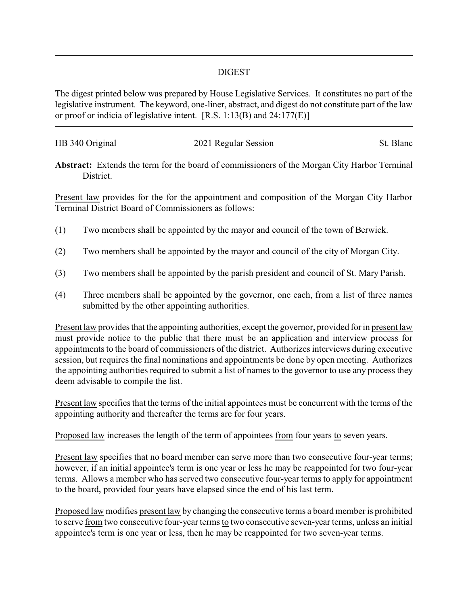## DIGEST

The digest printed below was prepared by House Legislative Services. It constitutes no part of the legislative instrument. The keyword, one-liner, abstract, and digest do not constitute part of the law or proof or indicia of legislative intent. [R.S. 1:13(B) and 24:177(E)]

| HB 340 Original | 2021 Regular Session | St. Blanc |
|-----------------|----------------------|-----------|
|                 |                      |           |

**Abstract:** Extends the term for the board of commissioners of the Morgan City Harbor Terminal District.

Present law provides for the for the appointment and composition of the Morgan City Harbor Terminal District Board of Commissioners as follows:

- (1) Two members shall be appointed by the mayor and council of the town of Berwick.
- (2) Two members shall be appointed by the mayor and council of the city of Morgan City.
- (3) Two members shall be appointed by the parish president and council of St. Mary Parish.
- (4) Three members shall be appointed by the governor, one each, from a list of three names submitted by the other appointing authorities.

Present law provides that the appointing authorities, except the governor, provided for in present law must provide notice to the public that there must be an application and interview process for appointments to the board of commissioners of the district. Authorizes interviews during executive session, but requires the final nominations and appointments be done by open meeting. Authorizes the appointing authorities required to submit a list of names to the governor to use any process they deem advisable to compile the list.

Present law specifies that the terms of the initial appointees must be concurrent with the terms of the appointing authority and thereafter the terms are for four years.

Proposed law increases the length of the term of appointees from four years to seven years.

Present law specifies that no board member can serve more than two consecutive four-year terms; however, if an initial appointee's term is one year or less he may be reappointed for two four-year terms. Allows a member who has served two consecutive four-year terms to apply for appointment to the board, provided four years have elapsed since the end of his last term.

Proposed law modifies present law by changing the consecutive terms a board member is prohibited to serve from two consecutive four-year terms to two consecutive seven-year terms, unless an initial appointee's term is one year or less, then he may be reappointed for two seven-year terms.